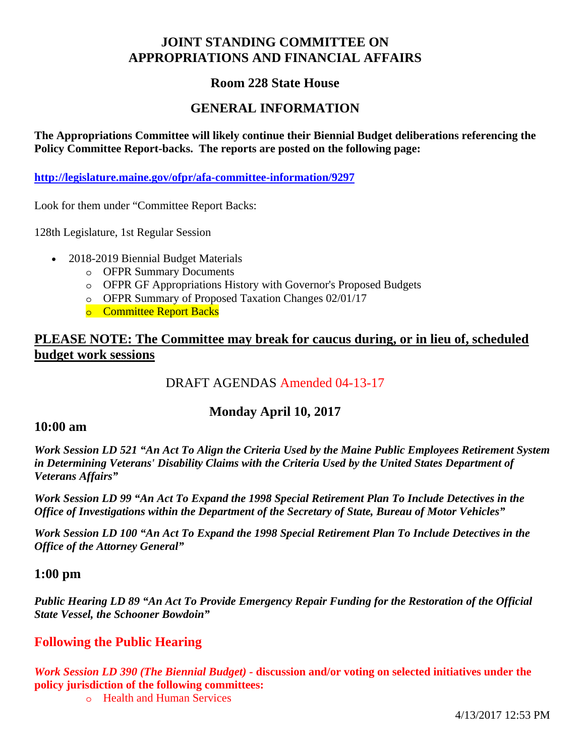# **JOINT STANDING COMMITTEE ON APPROPRIATIONS AND FINANCIAL AFFAIRS**

## **Room 228 State House**

## **GENERAL INFORMATION**

**The Appropriations Committee will likely continue their Biennial Budget deliberations referencing the Policy Committee Report-backs. The reports are posted on the following page:** 

**http://legislature.maine.gov/ofpr/afa-committee-information/9297**

Look for them under "Committee Report Backs:

128th Legislature, 1st Regular Session

- 2018-2019 Biennial Budget Materials
	- o OFPR Summary Documents
	- o OFPR GF Appropriations History with Governor's Proposed Budgets
	- o OFPR Summary of Proposed Taxation Changes 02/01/17
	- o Committee Report Backs

## **PLEASE NOTE: The Committee may break for caucus during, or in lieu of, scheduled budget work sessions**

# DRAFT AGENDAS Amended 04-13-17

## **Monday April 10, 2017**

#### **10:00 am**

*Work Session LD 521 "An Act To Align the Criteria Used by the Maine Public Employees Retirement System in Determining Veterans' Disability Claims with the Criteria Used by the United States Department of Veterans Affairs"* 

*Work Session LD 99 "An Act To Expand the 1998 Special Retirement Plan To Include Detectives in the Office of Investigations within the Department of the Secretary of State, Bureau of Motor Vehicles"* 

*Work Session LD 100 "An Act To Expand the 1998 Special Retirement Plan To Include Detectives in the Office of the Attorney General"* 

### **1:00 pm**

*Public Hearing LD 89 "An Act To Provide Emergency Repair Funding for the Restoration of the Official State Vessel, the Schooner Bowdoin"* 

## **Following the Public Hearing**

*Work Session LD 390 (The Biennial Budget) -* **discussion and/or voting on selected initiatives under the policy jurisdiction of the following committees:** 

o Health and Human Services